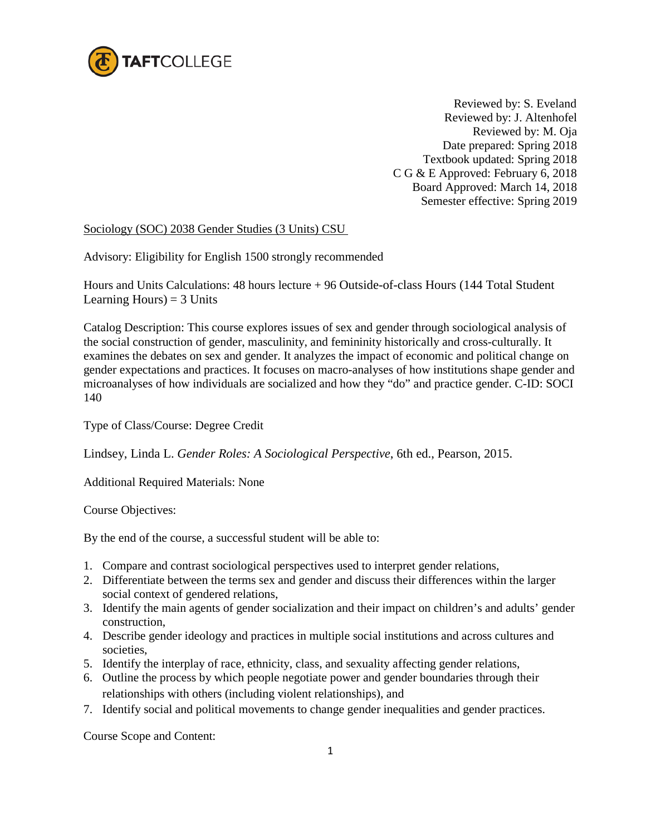

 Reviewed by: S. Eveland Reviewed by: J. Altenhofel Reviewed by: M. Oja Date prepared: Spring 2018 Textbook updated: Spring 2018 C G & E Approved: February 6, 2018 Board Approved: March 14, 2018 Semester effective: Spring 2019

## Sociology (SOC) 2038 Gender Studies (3 Units) CSU

Advisory: Eligibility for English 1500 strongly recommended

Hours and Units Calculations: 48 hours lecture + 96 Outside-of-class Hours (144 Total Student Learning Hours)  $=$  3 Units

Catalog Description: This course explores issues of sex and gender through sociological analysis of the social construction of gender, masculinity, and femininity historically and cross-culturally. It examines the debates on sex and gender. It analyzes the impact of economic and political change on gender expectations and practices. It focuses on macro-analyses of how institutions shape gender and microanalyses of how individuals are socialized and how they "do" and practice gender. C-ID: SOCI 140

Type of Class/Course: Degree Credit

Lindsey, Linda L. *Gender Roles: A Sociological Perspective*, 6th ed., Pearson, 2015.

Additional Required Materials: None

Course Objectives:

By the end of the course, a successful student will be able to:

- 1. Compare and contrast sociological perspectives used to interpret gender relations,
- 2. Differentiate between the terms sex and gender and discuss their differences within the larger social context of gendered relations,
- 3. Identify the main agents of gender socialization and their impact on children's and adults' gender construction,
- 4. Describe gender ideology and practices in multiple social institutions and across cultures and societies,
- 5. Identify the interplay of race, ethnicity, class, and sexuality affecting gender relations,
- 6. Outline the process by which people negotiate power and gender boundaries through their relationships with others (including violent relationships), and
- 7. Identify social and political movements to change gender inequalities and gender practices.

Course Scope and Content: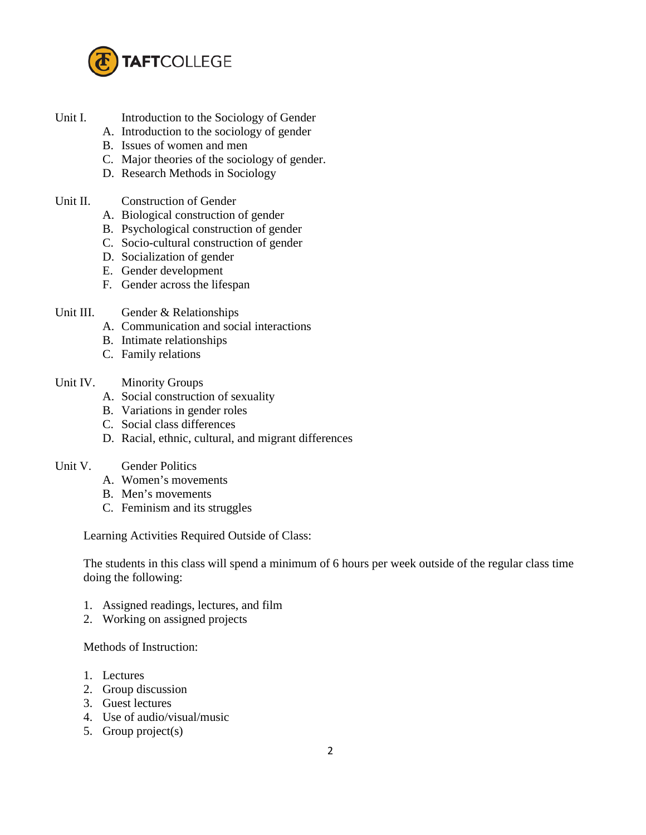

- Unit I. Introduction to the Sociology of Gender
	- A. Introduction to the sociology of gender
	- B. Issues of women and men
	- C. Major theories of the sociology of gender.
	- D. Research Methods in Sociology
- Unit II. Construction of Gender
	- A. Biological construction of gender
	- B. Psychological construction of gender
	- C. Socio-cultural construction of gender
	- D. Socialization of gender
	- E. Gender development
	- F. Gender across the lifespan
- Unit III. Gender & Relationships
	- A. Communication and social interactions
	- B. Intimate relationships
	- C. Family relations
- Unit IV. Minority Groups
	- A. Social construction of sexuality
	- B. Variations in gender roles
	- C. Social class differences
	- D. Racial, ethnic, cultural, and migrant differences
- Unit V. Gender Politics
	- A. Women's movements
	- B. Men's movements
	- C. Feminism and its struggles

Learning Activities Required Outside of Class:

The students in this class will spend a minimum of 6 hours per week outside of the regular class time doing the following:

- 1. Assigned readings, lectures, and film
- 2. Working on assigned projects

Methods of Instruction:

- 1. Lectures
- 2. Group discussion
- 3. Guest lectures
- 4. Use of audio/visual/music
- 5. Group project(s)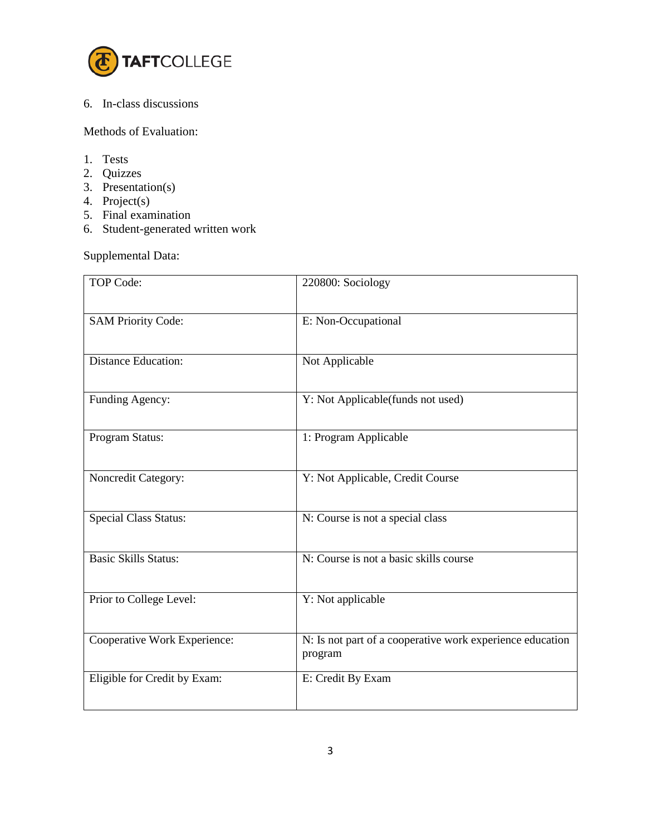

## 6. In-class discussions

Methods of Evaluation:

- 1. Tests
- 2. Quizzes
- 3. Presentation(s)
- 4. Project(s)
- 5. Final examination
- 6. Student-generated written work

Supplemental Data:

| <b>TOP Code:</b>             | 220800: Sociology                                                    |
|------------------------------|----------------------------------------------------------------------|
| <b>SAM Priority Code:</b>    | E: Non-Occupational                                                  |
| Distance Education:          | Not Applicable                                                       |
| Funding Agency:              | Y: Not Applicable(funds not used)                                    |
| Program Status:              | 1: Program Applicable                                                |
| Noncredit Category:          | Y: Not Applicable, Credit Course                                     |
| <b>Special Class Status:</b> | N: Course is not a special class                                     |
| <b>Basic Skills Status:</b>  | N: Course is not a basic skills course                               |
| Prior to College Level:      | Y: Not applicable                                                    |
| Cooperative Work Experience: | N: Is not part of a cooperative work experience education<br>program |
| Eligible for Credit by Exam: | E: Credit By Exam                                                    |